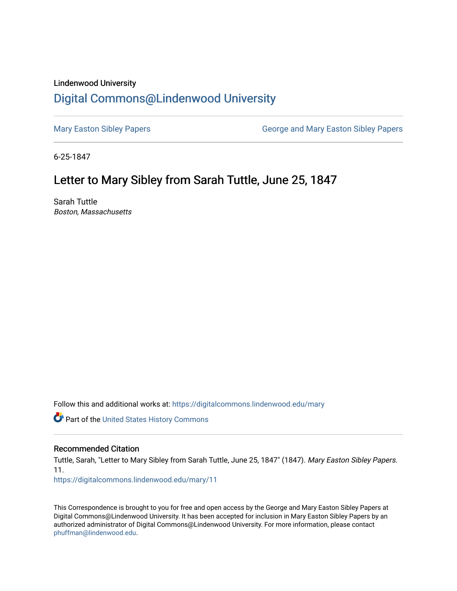## Lindenwood University [Digital Commons@Lindenwood University](https://digitalcommons.lindenwood.edu/)

[Mary Easton Sibley Papers](https://digitalcommons.lindenwood.edu/mary) **George and Mary Easton Sibley Papers** George and Mary Easton Sibley Papers

6-25-1847

## Letter to Mary Sibley from Sarah Tuttle, June 25, 1847

Sarah Tuttle Boston, Massachusetts

Follow this and additional works at: [https://digitalcommons.lindenwood.edu/mary](https://digitalcommons.lindenwood.edu/mary?utm_source=digitalcommons.lindenwood.edu%2Fmary%2F11&utm_medium=PDF&utm_campaign=PDFCoverPages) 

Part of the [United States History Commons](http://network.bepress.com/hgg/discipline/495?utm_source=digitalcommons.lindenwood.edu%2Fmary%2F11&utm_medium=PDF&utm_campaign=PDFCoverPages) 

## Recommended Citation

Tuttle, Sarah, "Letter to Mary Sibley from Sarah Tuttle, June 25, 1847" (1847). Mary Easton Sibley Papers. 11.

[https://digitalcommons.lindenwood.edu/mary/11](https://digitalcommons.lindenwood.edu/mary/11?utm_source=digitalcommons.lindenwood.edu%2Fmary%2F11&utm_medium=PDF&utm_campaign=PDFCoverPages)

This Correspondence is brought to you for free and open access by the George and Mary Easton Sibley Papers at Digital Commons@Lindenwood University. It has been accepted for inclusion in Mary Easton Sibley Papers by an authorized administrator of Digital Commons@Lindenwood University. For more information, please contact [phuffman@lindenwood.edu](mailto:phuffman@lindenwood.edu).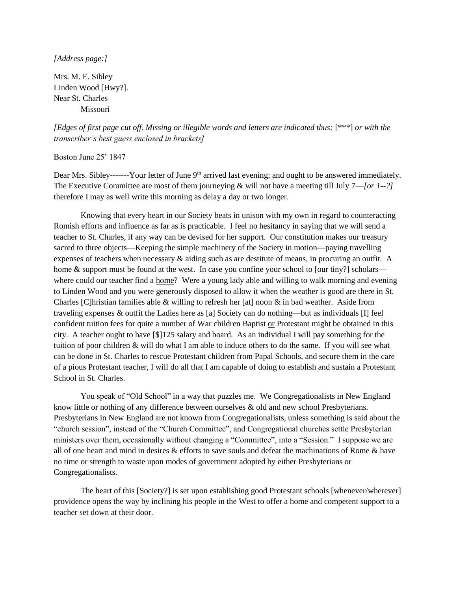## *[Address page:]*

Mrs. M. E. Sibley Linden Wood [Hwy?]. Near St. Charles Missouri

*[Edges of first page cut off. Missing or illegible words and letters are indicated thus:* [\*\*\*] *or with the transcriber's best guess enclosed in brackets]*

Boston June 25' 1847

Dear Mrs. Sibley-------Your letter of June  $9<sup>th</sup>$  arrived last evening; and ought to be answered immediately. The Executive Committee are most of them journeying & will not have a meeting till July 7—*[or 1--?]*  therefore I may as well write this morning as delay a day or two longer.

Knowing that every heart in our Society beats in unison with my own in regard to counteracting Romish efforts and influence as far as is practicable. I feel no hesitancy in saying that we will send a teacher to St. Charles, if any way can be devised for her support. Our constitution makes our treasury sacred to three objects—Keeping the simple machinery of the Society in motion—paying travelling expenses of teachers when necessary & aiding such as are destitute of means, in procuring an outfit. A home & support must be found at the west. In case you confine your school to [our tiny?] scholars where could our teacher find a home? Were a young lady able and willing to walk morning and evening to Linden Wood and you were generously disposed to allow it when the weather is good are there in St. Charles [C]hristian families able & willing to refresh her [at] noon  $\&$  in bad weather. Aside from traveling expenses & outfit the Ladies here as [a] Society can do nothing—but as individuals [I] feel confident tuition fees for quite a number of War children Baptist or Protestant might be obtained in this city. A teacher ought to have [\$]125 salary and board. As an individual I will pay something for the tuition of poor children & will do what I am able to induce others to do the same. If you will see what can be done in St. Charles to rescue Protestant children from Papal Schools, and secure them in the care of a pious Protestant teacher, I will do all that I am capable of doing to establish and sustain a Protestant School in St. Charles.

You speak of "Old School" in a way that puzzles me. We Congregationalists in New England know little or nothing of any difference between ourselves & old and new school Presbyterians. Presbyterians in New England are not known from Congregationalists, unless something is said about the "church session", instead of the "Church Committee", and Congregational churches settle Presbyterian ministers over them, occasionally without changing a "Committee", into a "Session." I suppose we are all of one heart and mind in desires & efforts to save souls and defeat the machinations of Rome & have no time or strength to waste upon modes of government adopted by either Presbyterians or Congregationalists.

The heart of this [Society?] is set upon establishing good Protestant schools [whenever/wherever] providence opens the way by inclining his people in the West to offer a home and competent support to a teacher set down at their door.